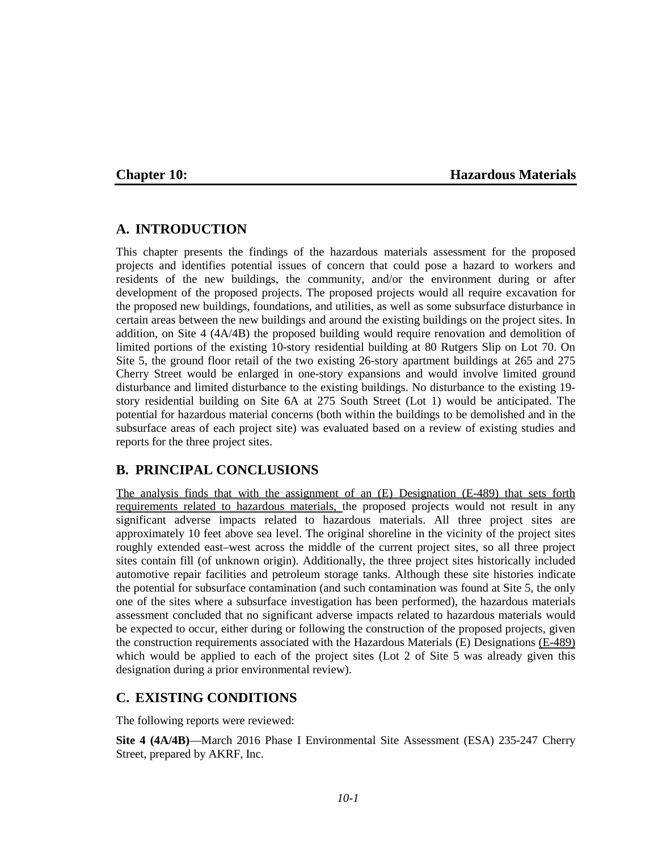## **Chapter 10: Hazardous Materials**

# **A. INTRODUCTION**

This chapter presents the findings of the hazardous materials assessment for the proposed projects and identifies potential issues of concern that could pose a hazard to workers and residents of the new buildings, the community, and/or the environment during or after development of the proposed projects. The proposed projects would all require excavation for the proposed new buildings, foundations, and utilities, as well as some subsurface disturbance in certain areas between the new buildings and around the existing buildings on the project sites. In addition, on Site 4 (4A/4B) the proposed building would require renovation and demolition of limited portions of the existing 10-story residential building at 80 Rutgers Slip on Lot 70. On Site 5, the ground floor retail of the two existing 26-story apartment buildings at 265 and 275 Cherry Street would be enlarged in one-story expansions and would involve limited ground disturbance and limited disturbance to the existing buildings. No disturbance to the existing 19 story residential building on Site 6A at 275 South Street (Lot 1) would be anticipated. The potential for hazardous material concerns (both within the buildings to be demolished and in the subsurface areas of each project site) was evaluated based on a review of existing studies and reports for the three project sites.

# **B. PRINCIPAL CONCLUSIONS**

The analysis finds that with the assignment of an (E) Designation (E-489) that sets forth requirements related to hazardous materials, the proposed projects would not result in any significant adverse impacts related to hazardous materials. All three project sites are approximately 10 feet above sea level. The original shoreline in the vicinity of the project sites roughly extended east–west across the middle of the current project sites, so all three project sites contain fill (of unknown origin). Additionally, the three project sites historically included automotive repair facilities and petroleum storage tanks. Although these site histories indicate the potential for subsurface contamination (and such contamination was found at Site 5, the only one of the sites where a subsurface investigation has been performed), the hazardous materials assessment concluded that no significant adverse impacts related to hazardous materials would be expected to occur, either during or following the construction of the proposed projects, given the construction requirements associated with the Hazardous Materials (E) Designations (E-489) which would be applied to each of the project sites (Lot 2 of Site 5 was already given this designation during a prior environmental review).

# **C. EXISTING CONDITIONS**

The following reports were reviewed:

**Site 4 (4A/4B)**—March 2016 Phase I Environmental Site Assessment (ESA) 235-247 Cherry Street, prepared by AKRF, Inc.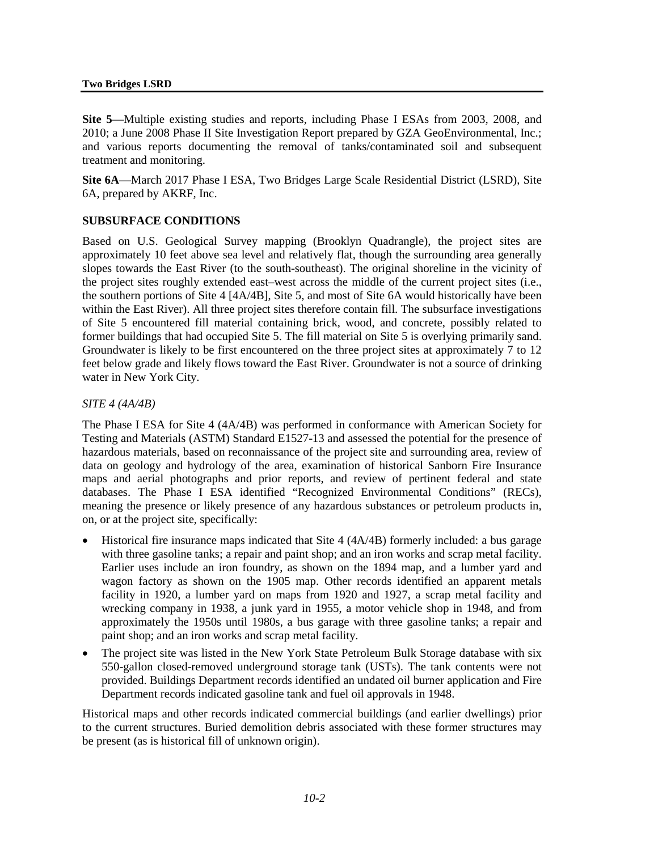#### **Two Bridges LSRD**

**Site 5**—Multiple existing studies and reports, including Phase I ESAs from 2003, 2008, and 2010; a June 2008 Phase II Site Investigation Report prepared by GZA GeoEnvironmental, Inc.; and various reports documenting the removal of tanks/contaminated soil and subsequent treatment and monitoring.

**Site 6A**—March 2017 Phase I ESA, Two Bridges Large Scale Residential District (LSRD), Site 6A, prepared by AKRF, Inc.

### **SUBSURFACE CONDITIONS**

Based on U.S. Geological Survey mapping (Brooklyn Quadrangle), the project sites are approximately 10 feet above sea level and relatively flat, though the surrounding area generally slopes towards the East River (to the south-southeast). The original shoreline in the vicinity of the project sites roughly extended east–west across the middle of the current project sites (i.e., the southern portions of Site 4 [4A/4B], Site 5, and most of Site 6A would historically have been within the East River). All three project sites therefore contain fill. The subsurface investigations of Site 5 encountered fill material containing brick, wood, and concrete, possibly related to former buildings that had occupied Site 5. The fill material on Site 5 is overlying primarily sand. Groundwater is likely to be first encountered on the three project sites at approximately 7 to 12 feet below grade and likely flows toward the East River. Groundwater is not a source of drinking water in New York City.

#### *SITE 4 (4A/4B)*

The Phase I ESA for Site 4 (4A/4B) was performed in conformance with American Society for Testing and Materials (ASTM) Standard E1527-13 and assessed the potential for the presence of hazardous materials, based on reconnaissance of the project site and surrounding area, review of data on geology and hydrology of the area, examination of historical Sanborn Fire Insurance maps and aerial photographs and prior reports, and review of pertinent federal and state databases. The Phase I ESA identified "Recognized Environmental Conditions" (RECs), meaning the presence or likely presence of any hazardous substances or petroleum products in, on, or at the project site, specifically:

- Historical fire insurance maps indicated that Site 4 (4A/4B) formerly included: a bus garage with three gasoline tanks; a repair and paint shop; and an iron works and scrap metal facility. Earlier uses include an iron foundry, as shown on the 1894 map, and a lumber yard and wagon factory as shown on the 1905 map. Other records identified an apparent metals facility in 1920, a lumber yard on maps from 1920 and 1927, a scrap metal facility and wrecking company in 1938, a junk yard in 1955, a motor vehicle shop in 1948, and from approximately the 1950s until 1980s, a bus garage with three gasoline tanks; a repair and paint shop; and an iron works and scrap metal facility.
- The project site was listed in the New York State Petroleum Bulk Storage database with six 550-gallon closed-removed underground storage tank (USTs). The tank contents were not provided. Buildings Department records identified an undated oil burner application and Fire Department records indicated gasoline tank and fuel oil approvals in 1948.

Historical maps and other records indicated commercial buildings (and earlier dwellings) prior to the current structures. Buried demolition debris associated with these former structures may be present (as is historical fill of unknown origin).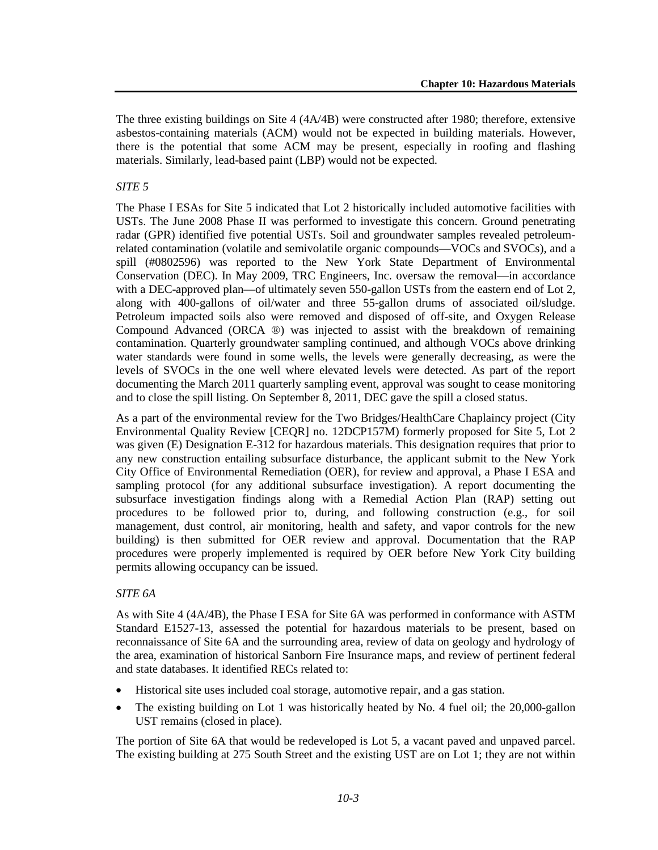The three existing buildings on Site 4 (4A/4B) were constructed after 1980; therefore, extensive asbestos-containing materials (ACM) would not be expected in building materials. However, there is the potential that some ACM may be present, especially in roofing and flashing materials. Similarly, lead-based paint (LBP) would not be expected.

## *SITE 5*

The Phase I ESAs for Site 5 indicated that Lot 2 historically included automotive facilities with USTs. The June 2008 Phase II was performed to investigate this concern. Ground penetrating radar (GPR) identified five potential USTs. Soil and groundwater samples revealed petroleumrelated contamination (volatile and semivolatile organic compounds—VOCs and SVOCs), and a spill (#0802596) was reported to the New York State Department of Environmental Conservation (DEC). In May 2009, TRC Engineers, Inc. oversaw the removal—in accordance with a DEC-approved plan—of ultimately seven 550-gallon USTs from the eastern end of Lot 2, along with 400-gallons of oil/water and three 55-gallon drums of associated oil/sludge. Petroleum impacted soils also were removed and disposed of off-site, and Oxygen Release Compound Advanced (ORCA ®) was injected to assist with the breakdown of remaining contamination. Quarterly groundwater sampling continued, and although VOCs above drinking water standards were found in some wells, the levels were generally decreasing, as were the levels of SVOCs in the one well where elevated levels were detected. As part of the report documenting the March 2011 quarterly sampling event, approval was sought to cease monitoring and to close the spill listing. On September 8, 2011, DEC gave the spill a closed status.

As a part of the environmental review for the Two Bridges/HealthCare Chaplaincy project (City Environmental Quality Review [CEQR] no. 12DCP157M) formerly proposed for Site 5, Lot 2 was given (E) Designation E-312 for hazardous materials. This designation requires that prior to any new construction entailing subsurface disturbance, the applicant submit to the New York City Office of Environmental Remediation (OER), for review and approval, a Phase I ESA and sampling protocol (for any additional subsurface investigation). A report documenting the subsurface investigation findings along with a Remedial Action Plan (RAP) setting out procedures to be followed prior to, during, and following construction (e.g., for soil management, dust control, air monitoring, health and safety, and vapor controls for the new building) is then submitted for OER review and approval. Documentation that the RAP procedures were properly implemented is required by OER before New York City building permits allowing occupancy can be issued.

### *SITE 6A*

As with Site 4 (4A/4B), the Phase I ESA for Site 6A was performed in conformance with ASTM Standard E1527-13, assessed the potential for hazardous materials to be present, based on reconnaissance of Site 6A and the surrounding area, review of data on geology and hydrology of the area, examination of historical Sanborn Fire Insurance maps, and review of pertinent federal and state databases. It identified RECs related to:

- Historical site uses included coal storage, automotive repair, and a gas station.
- The existing building on Lot 1 was historically heated by No. 4 fuel oil; the 20,000-gallon UST remains (closed in place).

The portion of Site 6A that would be redeveloped is Lot 5, a vacant paved and unpaved parcel. The existing building at 275 South Street and the existing UST are on Lot 1; they are not within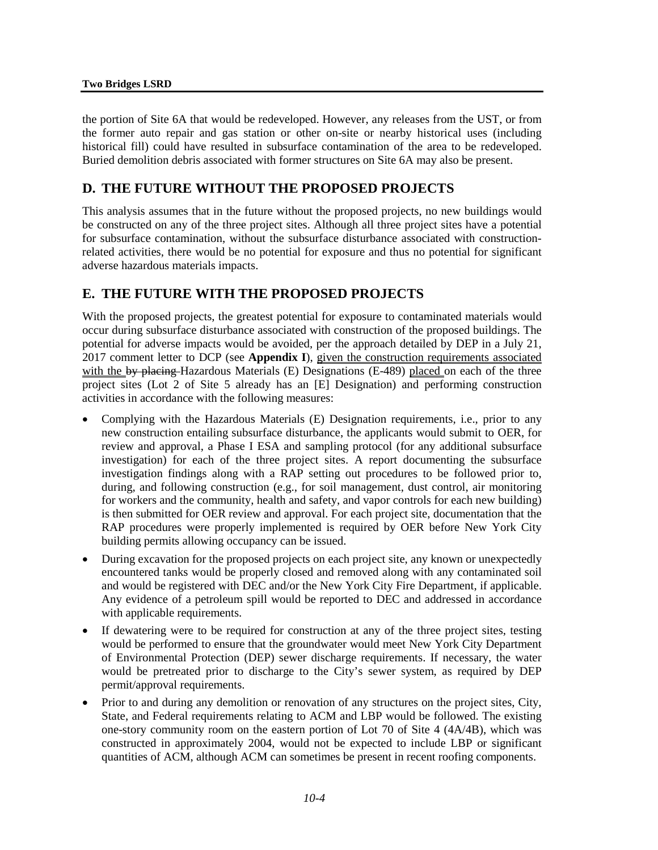#### **Two Bridges LSRD**

the portion of Site 6A that would be redeveloped. However, any releases from the UST, or from the former auto repair and gas station or other on-site or nearby historical uses (including historical fill) could have resulted in subsurface contamination of the area to be redeveloped. Buried demolition debris associated with former structures on Site 6A may also be present.

# **D. THE FUTURE WITHOUT THE PROPOSED PROJECTS**

This analysis assumes that in the future without the proposed projects, no new buildings would be constructed on any of the three project sites. Although all three project sites have a potential for subsurface contamination, without the subsurface disturbance associated with constructionrelated activities, there would be no potential for exposure and thus no potential for significant adverse hazardous materials impacts.

# **E. THE FUTURE WITH THE PROPOSED PROJECTS**

With the proposed projects, the greatest potential for exposure to contaminated materials would occur during subsurface disturbance associated with construction of the proposed buildings. The potential for adverse impacts would be avoided, per the approach detailed by DEP in a July 21, 2017 comment letter to DCP (see **Appendix I**), given the construction requirements associated with the by placing Hazardous Materials (E) Designations (E-489) placed on each of the three project sites (Lot 2 of Site 5 already has an [E] Designation) and performing construction activities in accordance with the following measures:

- Complying with the Hazardous Materials (E) Designation requirements, i.e., prior to any new construction entailing subsurface disturbance, the applicants would submit to OER, for review and approval, a Phase I ESA and sampling protocol (for any additional subsurface investigation) for each of the three project sites. A report documenting the subsurface investigation findings along with a RAP setting out procedures to be followed prior to, during, and following construction (e.g., for soil management, dust control, air monitoring for workers and the community, health and safety, and vapor controls for each new building) is then submitted for OER review and approval. For each project site, documentation that the RAP procedures were properly implemented is required by OER before New York City building permits allowing occupancy can be issued.
- During excavation for the proposed projects on each project site, any known or unexpectedly encountered tanks would be properly closed and removed along with any contaminated soil and would be registered with DEC and/or the New York City Fire Department, if applicable. Any evidence of a petroleum spill would be reported to DEC and addressed in accordance with applicable requirements.
- If dewatering were to be required for construction at any of the three project sites, testing would be performed to ensure that the groundwater would meet New York City Department of Environmental Protection (DEP) sewer discharge requirements. If necessary, the water would be pretreated prior to discharge to the City's sewer system, as required by DEP permit/approval requirements.
- Prior to and during any demolition or renovation of any structures on the project sites, City, State, and Federal requirements relating to ACM and LBP would be followed. The existing one-story community room on the eastern portion of Lot 70 of Site 4 (4A/4B), which was constructed in approximately 2004, would not be expected to include LBP or significant quantities of ACM, although ACM can sometimes be present in recent roofing components.